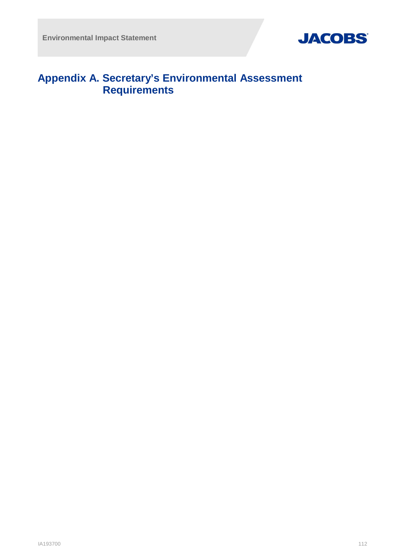

## **Appendix A. Secretary's Environmental Assessment Requirements**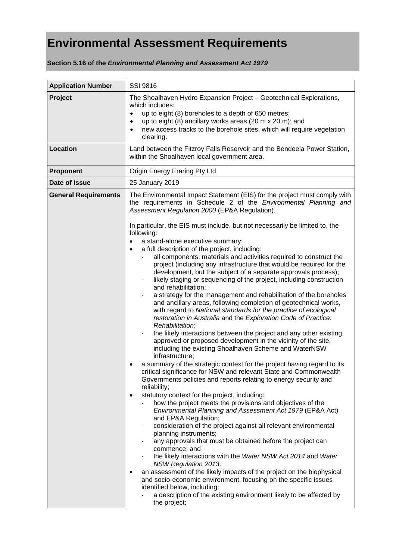## **Environmental Assessment Requirements**

**Section 5.16 of the** *Environmental Planning and Assessment Act 1979*

| <b>Application Number</b>   | <b>SSI 9816</b>                                                                                                                                                                                                                                                                                                                                                                                                                                                                                                                                                                                                                                                                                                                                                                                                                                                                                                                                                                                                                                                                                                                                                                                                                                                                                                                                                                                                                                                                                                                                                                                                                                                                                                                                                                                                                                                                                                                                                                                                                                                                                                                                                                                                                                                    |
|-----------------------------|--------------------------------------------------------------------------------------------------------------------------------------------------------------------------------------------------------------------------------------------------------------------------------------------------------------------------------------------------------------------------------------------------------------------------------------------------------------------------------------------------------------------------------------------------------------------------------------------------------------------------------------------------------------------------------------------------------------------------------------------------------------------------------------------------------------------------------------------------------------------------------------------------------------------------------------------------------------------------------------------------------------------------------------------------------------------------------------------------------------------------------------------------------------------------------------------------------------------------------------------------------------------------------------------------------------------------------------------------------------------------------------------------------------------------------------------------------------------------------------------------------------------------------------------------------------------------------------------------------------------------------------------------------------------------------------------------------------------------------------------------------------------------------------------------------------------------------------------------------------------------------------------------------------------------------------------------------------------------------------------------------------------------------------------------------------------------------------------------------------------------------------------------------------------------------------------------------------------------------------------------------------------|
| Project                     | The Shoalhaven Hydro Expansion Project - Geotechnical Explorations,<br>which includes:<br>up to eight (8) boreholes to a depth of 650 metres;<br>$\bullet$<br>up to eight (8) ancillary works areas (20 m x 20 m); and<br>$\bullet$<br>new access tracks to the borehole sites, which will require vegetation<br>$\bullet$<br>clearing.                                                                                                                                                                                                                                                                                                                                                                                                                                                                                                                                                                                                                                                                                                                                                                                                                                                                                                                                                                                                                                                                                                                                                                                                                                                                                                                                                                                                                                                                                                                                                                                                                                                                                                                                                                                                                                                                                                                            |
| Location                    | Land between the Fitzroy Falls Reservoir and the Bendeela Power Station,<br>within the Shoalhaven local government area.                                                                                                                                                                                                                                                                                                                                                                                                                                                                                                                                                                                                                                                                                                                                                                                                                                                                                                                                                                                                                                                                                                                                                                                                                                                                                                                                                                                                                                                                                                                                                                                                                                                                                                                                                                                                                                                                                                                                                                                                                                                                                                                                           |
| Proponent                   | Origin Energy Eraring Pty Ltd                                                                                                                                                                                                                                                                                                                                                                                                                                                                                                                                                                                                                                                                                                                                                                                                                                                                                                                                                                                                                                                                                                                                                                                                                                                                                                                                                                                                                                                                                                                                                                                                                                                                                                                                                                                                                                                                                                                                                                                                                                                                                                                                                                                                                                      |
| Date of Issue               | 25 January 2019                                                                                                                                                                                                                                                                                                                                                                                                                                                                                                                                                                                                                                                                                                                                                                                                                                                                                                                                                                                                                                                                                                                                                                                                                                                                                                                                                                                                                                                                                                                                                                                                                                                                                                                                                                                                                                                                                                                                                                                                                                                                                                                                                                                                                                                    |
| <b>General Requirements</b> | The Environmental Impact Statement (EIS) for the project must comply with<br>the requirements in Schedule 2 of the Environmental Planning and<br>Assessment Regulation 2000 (EP&A Regulation).<br>In particular, the EIS must include, but not necessarily be limited to, the<br>following:<br>a stand-alone executive summary;<br>$\bullet$<br>a full description of the project, including:<br>$\bullet$<br>all components, materials and activities required to construct the<br>project (including any infrastructure that would be required for the<br>development, but the subject of a separate approvals process);<br>likely staging or sequencing of the project, including construction<br>and rehabilitation;<br>a strategy for the management and rehabilitation of the boreholes<br>and ancillary areas, following completion of geotechnical works,<br>with regard to National standards for the practice of ecological<br>restoration in Australia and the Exploration Code of Practice:<br>Rehabilitation;<br>the likely interactions between the project and any other existing,<br>approved or proposed development in the vicinity of the site,<br>including the existing Shoalhaven Scheme and WaterNSW<br>infrastructure;<br>a summary of the strategic context for the project having regard to its<br>critical significance for NSW and relevant State and Commonwealth<br>Governments policies and reports relating to energy security and<br>reliability;<br>statutory context for the project, including:<br>$\bullet$<br>how the project meets the provisions and objectives of the<br>Environmental Planning and Assessment Act 1979 (EP&A Act)<br>and EP&A Regulation;<br>consideration of the project against all relevant environmental<br>$\blacksquare$<br>planning instruments;<br>any approvals that must be obtained before the project can<br>commence; and<br>the likely interactions with the Water NSW Act 2014 and Water<br><b>NSW Regulation 2013.</b><br>an assessment of the likely impacts of the project on the biophysical<br>and socio-economic environment, focusing on the specific issues<br>identified below, including:<br>a description of the existing environment likely to be affected by<br>the project; |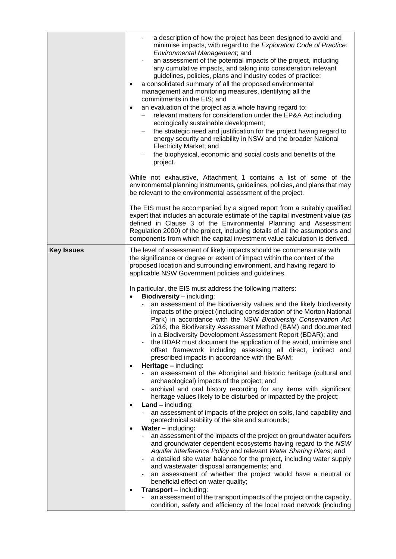|                   | a description of how the project has been designed to avoid and<br>minimise impacts, with regard to the Exploration Code of Practice:<br>Environmental Management, and<br>an assessment of the potential impacts of the project, including<br>any cumulative impacts, and taking into consideration relevant<br>guidelines, policies, plans and industry codes of practice;<br>a consolidated summary of all the proposed environmental<br>management and monitoring measures, identifying all the<br>commitments in the EIS; and<br>an evaluation of the project as a whole having regard to:<br>$\bullet$<br>relevant matters for consideration under the EP&A Act including<br>ecologically sustainable development;<br>the strategic need and justification for the project having regard to<br>energy security and reliability in NSW and the broader National<br>Electricity Market; and<br>the biophysical, economic and social costs and benefits of the<br>project.<br>While not exhaustive, Attachment 1 contains a list of some of the<br>environmental planning instruments, guidelines, policies, and plans that may                                                                                                                                                                                                                                                                                                                                                                                                                                                                                                                                                                                                                                                                                                                                                                                                                                                                                                                                       |
|-------------------|-------------------------------------------------------------------------------------------------------------------------------------------------------------------------------------------------------------------------------------------------------------------------------------------------------------------------------------------------------------------------------------------------------------------------------------------------------------------------------------------------------------------------------------------------------------------------------------------------------------------------------------------------------------------------------------------------------------------------------------------------------------------------------------------------------------------------------------------------------------------------------------------------------------------------------------------------------------------------------------------------------------------------------------------------------------------------------------------------------------------------------------------------------------------------------------------------------------------------------------------------------------------------------------------------------------------------------------------------------------------------------------------------------------------------------------------------------------------------------------------------------------------------------------------------------------------------------------------------------------------------------------------------------------------------------------------------------------------------------------------------------------------------------------------------------------------------------------------------------------------------------------------------------------------------------------------------------------------------------------------------------------------------------------------------------------------------|
|                   | be relevant to the environmental assessment of the project.<br>The EIS must be accompanied by a signed report from a suitably qualified<br>expert that includes an accurate estimate of the capital investment value (as<br>defined in Clause 3 of the Environmental Planning and Assessment<br>Regulation 2000) of the project, including details of all the assumptions and<br>components from which the capital investment value calculation is derived.                                                                                                                                                                                                                                                                                                                                                                                                                                                                                                                                                                                                                                                                                                                                                                                                                                                                                                                                                                                                                                                                                                                                                                                                                                                                                                                                                                                                                                                                                                                                                                                                             |
| <b>Key Issues</b> | The level of assessment of likely impacts should be commensurate with<br>the significance or degree or extent of impact within the context of the<br>proposed location and surrounding environment, and having regard to<br>applicable NSW Government policies and guidelines.<br>In particular, the EIS must address the following matters:<br><b>Biodiversity</b> – including:<br>$\bullet$<br>an assessment of the biodiversity values and the likely biodiversity<br>impacts of the project (including consideration of the Morton National<br>Park) in accordance with the NSW Biodiversity Conservation Act<br>2016, the Biodiversity Assessment Method (BAM) and documented<br>in a Biodiversity Development Assessment Report (BDAR); and<br>the BDAR must document the application of the avoid, minimise and<br>offset framework including assessing all direct, indirect and<br>prescribed impacts in accordance with the BAM;<br>Heritage - including:<br>$\bullet$<br>an assessment of the Aboriginal and historic heritage (cultural and<br>archaeological) impacts of the project; and<br>archival and oral history recording for any items with significant<br>heritage values likely to be disturbed or impacted by the project;<br>$Land - including:$<br>$\bullet$<br>an assessment of impacts of the project on soils, land capability and<br>geotechnical stability of the site and surrounds;<br>Water - including:<br>an assessment of the impacts of the project on groundwater aquifers<br>and groundwater dependent ecosystems having regard to the NSW<br>Aquifer Interference Policy and relevant Water Sharing Plans; and<br>a detailed site water balance for the project, including water supply<br>and wastewater disposal arrangements; and<br>an assessment of whether the project would have a neutral or<br>beneficial effect on water quality;<br><b>Transport - including:</b><br>an assessment of the transport impacts of the project on the capacity,<br>condition, safety and efficiency of the local road network (including |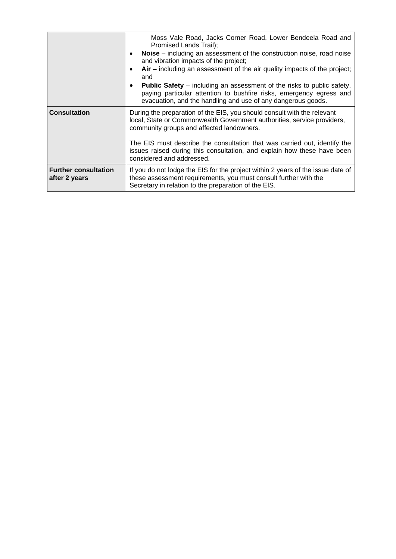|                                              | Moss Vale Road, Jacks Corner Road, Lower Bendeela Road and<br>Promised Lands Trail);<br>Noise – including an assessment of the construction noise, road noise<br>$\bullet$<br>and vibration impacts of the project;<br>$Air$ – including an assessment of the air quality impacts of the project;<br>$\bullet$<br>and<br><b>Public Safety</b> – including an assessment of the risks to public safety,<br>٠<br>paying particular attention to bushfire risks, emergency egress and<br>evacuation, and the handling and use of any dangerous goods. |
|----------------------------------------------|----------------------------------------------------------------------------------------------------------------------------------------------------------------------------------------------------------------------------------------------------------------------------------------------------------------------------------------------------------------------------------------------------------------------------------------------------------------------------------------------------------------------------------------------------|
| <b>Consultation</b>                          | During the preparation of the EIS, you should consult with the relevant<br>local, State or Commonwealth Government authorities, service providers,<br>community groups and affected landowners.<br>The EIS must describe the consultation that was carried out, identify the<br>issues raised during this consultation, and explain how these have been<br>considered and addressed.                                                                                                                                                               |
| <b>Further consultation</b><br>after 2 years | If you do not lodge the EIS for the project within 2 years of the issue date of<br>these assessment requirements, you must consult further with the<br>Secretary in relation to the preparation of the EIS.                                                                                                                                                                                                                                                                                                                                        |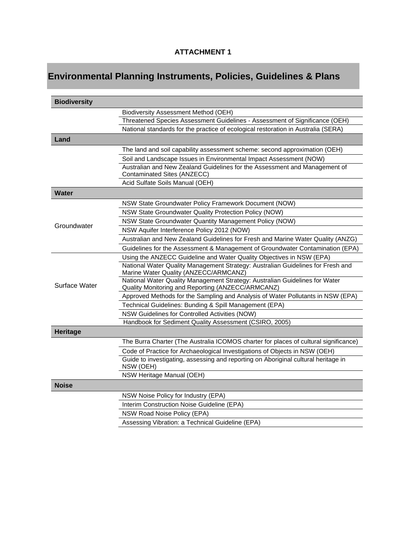## **ATTACHMENT 1**

## **Environmental Planning Instruments, Policies, Guidelines & Plans**

| <b>Biodiversity</b> |                                                                                                                                  |
|---------------------|----------------------------------------------------------------------------------------------------------------------------------|
|                     | Biodiversity Assessment Method (OEH)                                                                                             |
|                     | Threatened Species Assessment Guidelines - Assessment of Significance (OEH)                                                      |
|                     | National standards for the practice of ecological restoration in Australia (SERA)                                                |
| Land                |                                                                                                                                  |
|                     | The land and soil capability assessment scheme: second approximation (OEH)                                                       |
|                     | Soil and Landscape Issues in Environmental Impact Assessment (NOW)                                                               |
|                     | Australian and New Zealand Guidelines for the Assessment and Management of<br>Contaminated Sites (ANZECC)                        |
|                     | Acid Sulfate Soils Manual (OEH)                                                                                                  |
| Water               |                                                                                                                                  |
|                     | NSW State Groundwater Policy Framework Document (NOW)                                                                            |
|                     | NSW State Groundwater Quality Protection Policy (NOW)                                                                            |
|                     | NSW State Groundwater Quantity Management Policy (NOW)                                                                           |
| Groundwater         | NSW Aquifer Interference Policy 2012 (NOW)                                                                                       |
|                     | Australian and New Zealand Guidelines for Fresh and Marine Water Quality (ANZG)                                                  |
|                     | Guidelines for the Assessment & Management of Groundwater Contamination (EPA)                                                    |
|                     | Using the ANZECC Guideline and Water Quality Objectives in NSW (EPA)                                                             |
| Surface Water       | National Water Quality Management Strategy: Australian Guidelines for Fresh and<br>Marine Water Quality (ANZECC/ARMCANZ)         |
|                     | National Water Quality Management Strategy: Australian Guidelines for Water<br>Quality Monitoring and Reporting (ANZECC/ARMCANZ) |
|                     | Approved Methods for the Sampling and Analysis of Water Pollutants in NSW (EPA)                                                  |
|                     | Technical Guidelines: Bunding & Spill Management (EPA)                                                                           |
|                     | NSW Guidelines for Controlled Activities (NOW)                                                                                   |
|                     | Handbook for Sediment Quality Assessment (CSIRO, 2005)                                                                           |
| <b>Heritage</b>     |                                                                                                                                  |
|                     | The Burra Charter (The Australia ICOMOS charter for places of cultural significance)                                             |
|                     | Code of Practice for Archaeological Investigations of Objects in NSW (OEH)                                                       |
|                     | Guide to investigating, assessing and reporting on Aboriginal cultural heritage in<br>NSW (OEH)                                  |
|                     | NSW Heritage Manual (OEH)                                                                                                        |
| <b>Noise</b>        |                                                                                                                                  |
|                     | NSW Noise Policy for Industry (EPA)                                                                                              |
|                     | Interim Construction Noise Guideline (EPA)                                                                                       |
|                     | NSW Road Noise Policy (EPA)                                                                                                      |
|                     | Assessing Vibration: a Technical Guideline (EPA)                                                                                 |